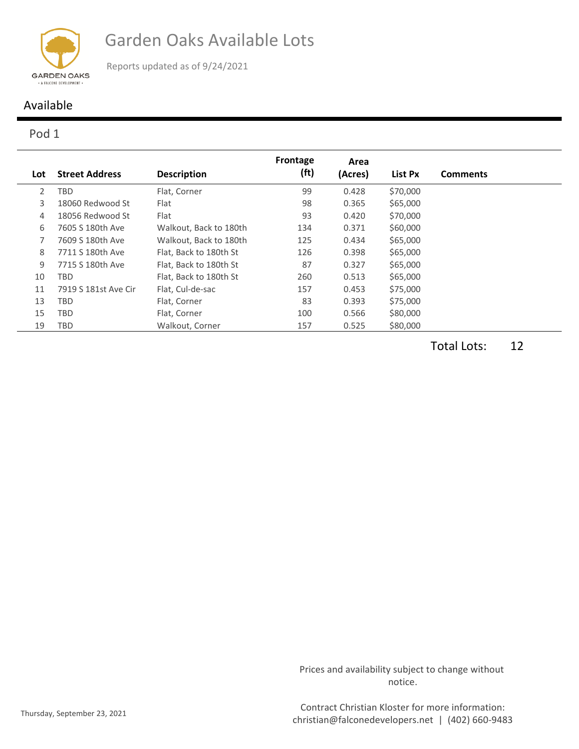

Garden Oaks Available Lots

Reports updated as of 9/24/2021

## Available

## Pod 1

|                |                       |                        | Frontage          | Area    |          |                 |
|----------------|-----------------------|------------------------|-------------------|---------|----------|-----------------|
| Lot            | <b>Street Address</b> | <b>Description</b>     | (f <sup>t</sup> ) | (Acres) | List Px  | <b>Comments</b> |
| $\overline{2}$ | <b>TBD</b>            | Flat, Corner           | 99                | 0.428   | \$70,000 |                 |
| 3              | 18060 Redwood St      | Flat                   | 98                | 0.365   | \$65,000 |                 |
| 4              | 18056 Redwood St      | Flat                   | 93                | 0.420   | \$70,000 |                 |
| 6              | 7605 S 180th Ave      | Walkout, Back to 180th | 134               | 0.371   | \$60,000 |                 |
|                | 7609 S 180th Ave      | Walkout, Back to 180th | 125               | 0.434   | \$65,000 |                 |
| 8              | 7711 S 180th Ave      | Flat, Back to 180th St | 126               | 0.398   | \$65,000 |                 |
| 9              | 7715 S 180th Ave      | Flat. Back to 180th St | 87                | 0.327   | \$65,000 |                 |
| 10             | TBD                   | Flat, Back to 180th St | 260               | 0.513   | \$65,000 |                 |
| 11             | 7919 S 181st Ave Cir  | Flat, Cul-de-sac       | 157               | 0.453   | \$75,000 |                 |
| 13             | TBD                   | Flat, Corner           | 83                | 0.393   | \$75,000 |                 |
| 15             | <b>TBD</b>            | Flat, Corner           | 100               | 0.566   | \$80,000 |                 |
| 19             | TBD                   | Walkout, Corner        | 157               | 0.525   | \$80,000 |                 |

Total Lots: 12

Prices and availability subject to change without notice.